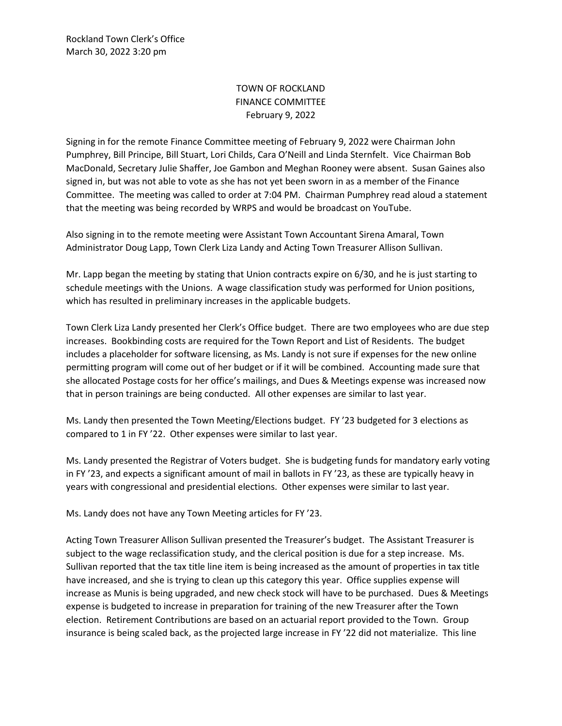Rockland Town Clerk's Office March 30, 2022 3:20 pm

## TOWN OF ROCKLAND FINANCE COMMITTEE February 9, 2022

Signing in for the remote Finance Committee meeting of February 9, 2022 were Chairman John Pumphrey, Bill Principe, Bill Stuart, Lori Childs, Cara O'Neill and Linda Sternfelt. Vice Chairman Bob MacDonald, Secretary Julie Shaffer, Joe Gambon and Meghan Rooney were absent. Susan Gaines also signed in, but was not able to vote as she has not yet been sworn in as a member of the Finance Committee. The meeting was called to order at 7:04 PM. Chairman Pumphrey read aloud a statement that the meeting was being recorded by WRPS and would be broadcast on YouTube.

Also signing in to the remote meeting were Assistant Town Accountant Sirena Amaral, Town Administrator Doug Lapp, Town Clerk Liza Landy and Acting Town Treasurer Allison Sullivan.

Mr. Lapp began the meeting by stating that Union contracts expire on 6/30, and he is just starting to schedule meetings with the Unions. A wage classification study was performed for Union positions, which has resulted in preliminary increases in the applicable budgets.

Town Clerk Liza Landy presented her Clerk's Office budget. There are two employees who are due step increases. Bookbinding costs are required for the Town Report and List of Residents. The budget includes a placeholder for software licensing, as Ms. Landy is not sure if expenses for the new online permitting program will come out of her budget or if it will be combined. Accounting made sure that she allocated Postage costs for her office's mailings, and Dues & Meetings expense was increased now that in person trainings are being conducted. All other expenses are similar to last year.

Ms. Landy then presented the Town Meeting/Elections budget. FY '23 budgeted for 3 elections as compared to 1 in FY '22. Other expenses were similar to last year.

Ms. Landy presented the Registrar of Voters budget. She is budgeting funds for mandatory early voting in FY '23, and expects a significant amount of mail in ballots in FY '23, as these are typically heavy in years with congressional and presidential elections. Other expenses were similar to last year.

Ms. Landy does not have any Town Meeting articles for FY '23.

Acting Town Treasurer Allison Sullivan presented the Treasurer's budget. The Assistant Treasurer is subject to the wage reclassification study, and the clerical position is due for a step increase. Ms. Sullivan reported that the tax title line item is being increased as the amount of properties in tax title have increased, and she is trying to clean up this category this year. Office supplies expense will increase as Munis is being upgraded, and new check stock will have to be purchased. Dues & Meetings expense is budgeted to increase in preparation for training of the new Treasurer after the Town election. Retirement Contributions are based on an actuarial report provided to the Town. Group insurance is being scaled back, as the projected large increase in FY '22 did not materialize. This line